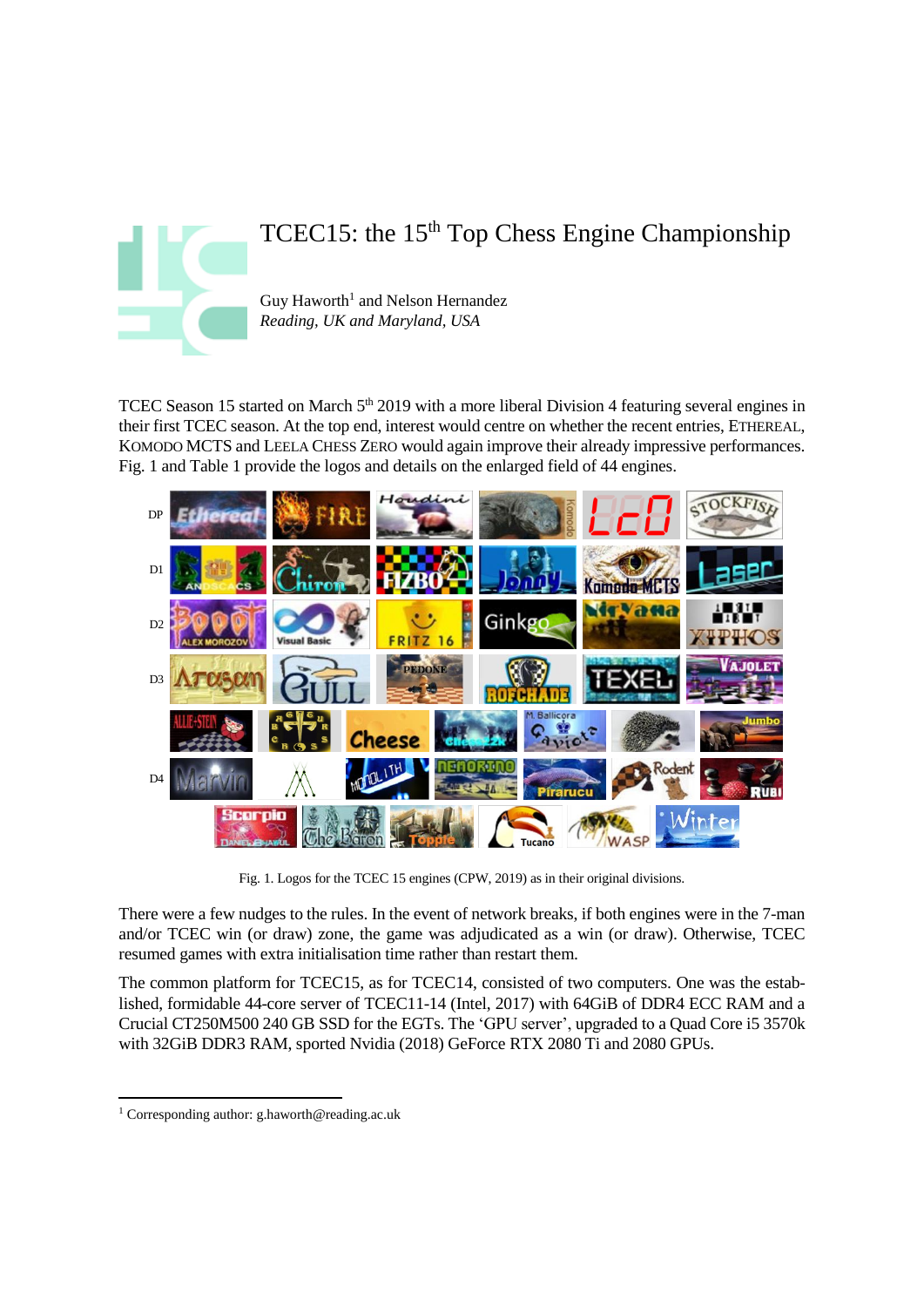

# TCEC15: the 15<sup>th</sup> Top Chess Engine Championship

Guy Haworth<sup>1</sup> and Nelson Hernandez *Reading, UK and Maryland, USA*

TCEC Season 15 started on March 5<sup>th</sup> 2019 with a more liberal Division 4 featuring several engines in their first TCEC season. At the top end, interest would centre on whether the recent entries, ETHEREAL, KOMODO MCTS and LEELA CHESS ZERO would again improve their already impressive performances. Fig. 1 and Table 1 provide the logos and details on the enlarged field of 44 engines.



Fig. 1. Logos for the TCEC 15 engines (CPW, 2019) as in their original divisions.

There were a few nudges to the rules. In the event of network breaks, if both engines were in the 7-man and/or TCEC win (or draw) zone, the game was adjudicated as a win (or draw). Otherwise, TCEC resumed games with extra initialisation time rather than restart them.

The common platform for TCEC15, as for TCEC14, consisted of two computers. One was the established, formidable 44-core server of TCEC11-14 (Intel, 2017) with 64GiB of DDR4 ECC RAM and a Crucial CT250M500 240 GB SSD for the EGTs. The 'GPU server', upgraded to a Quad Core i5 3570k with 32GiB DDR3 RAM, sported Nvidia (2018) GeForce RTX 2080 Ti and 2080 GPUs.

 $\overline{\phantom{a}}$ <sup>1</sup> Corresponding author: g.haworth@reading.ac.uk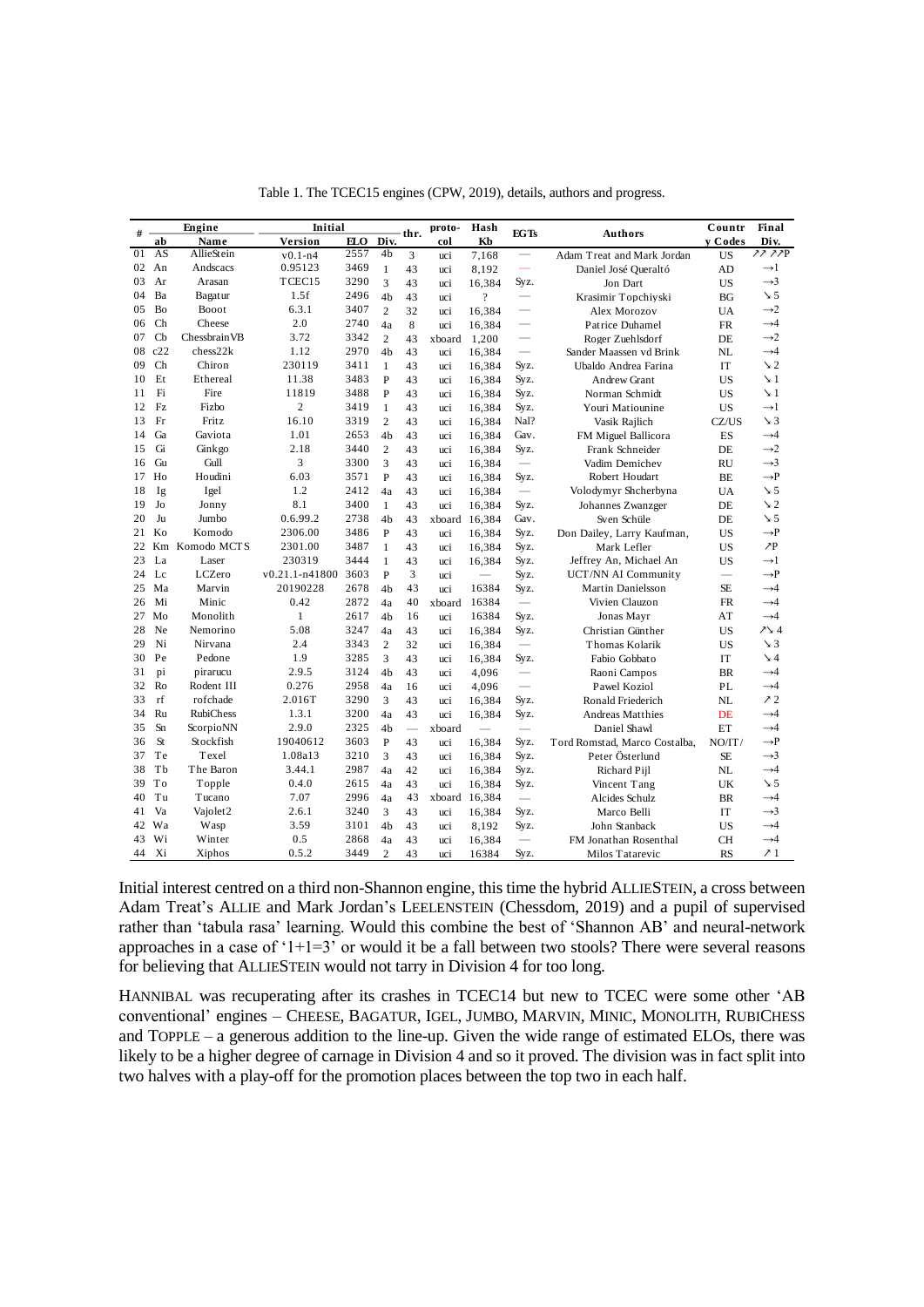|    |                |                      |                    |      |                |          |        |                          |                                | Table 1. The TCEC15 engines (CPW, 2019), details, authors and progress. |                          |                 |
|----|----------------|----------------------|--------------------|------|----------------|----------|--------|--------------------------|--------------------------------|-------------------------------------------------------------------------|--------------------------|-----------------|
|    |                | Engine               | Initial            |      |                |          | proto- | Hash                     |                                |                                                                         | Countr                   | Final           |
| #  | ab             | Name                 | Version            | ELO  | Div.           | thr.     | col    | Kb                       | <b>EGTs</b>                    | <b>Authors</b>                                                          | y Codes                  | Div.            |
| 01 | AS             | AllieStein           | $v0.1 - n4$        | 2557 | 4b             | 3        | uci    | 7,168                    | $\qquad \qquad -$              | Adam Treat and Mark Jordan                                              | <b>US</b>                | 22 22P          |
| 02 | An             | Andscacs             | 0.95123            | 3469 | $\mathbf{1}$   | 43       | uci    | 8,192                    | $\qquad \qquad \longleftarrow$ | Daniel José Oueraltó                                                    | AD                       | $\rightarrow$ 1 |
| 03 | Ar             | Arasan               | TCEC15             | 3290 | 3              | 43       | uci    | 16,384                   | Syz.                           | Jon Dart                                                                | <b>US</b>                | $\rightarrow$ 3 |
| 04 | Ba             | Bagatur              | 1.5f               | 2496 | 4 <sub>b</sub> | 43       | uci    | $\overline{\cdot}$       | $\overline{\phantom{0}}$       | Krasimir Topchiyski                                                     | <b>BG</b>                | $\searrow$ 5    |
| 05 | <b>Bo</b>      | Booot                | 6.3.1              | 3407 | $\overline{2}$ | 32       | uci    | 16,384                   | $\overline{\phantom{0}}$       | Alex Morozov                                                            | <b>UA</b>                | $\rightarrow 2$ |
| 06 | Ch             | Cheese               | 2.0                | 2740 | 4a             | 8        | uci    | 16,384                   | $\qquad \qquad$                | Patrice Duhamel                                                         | <b>FR</b>                | $\rightarrow$ 4 |
| 07 | Cb             | Chessbrain VB        | 3.72               | 3342 | $\overline{2}$ | 43       | xboard | 1,200                    | $\overline{\phantom{0}}$       | Roger Zuehlsdorf                                                        | DE                       | $\rightarrow$ 2 |
| 08 | c22            | chess22k             | 1.12               | 2970 | 4 <sub>b</sub> | 43       | uci    | 16,384                   | $\equiv$                       | Sander Maassen vd Brink                                                 | NL                       | $\rightarrow$ 4 |
| 09 | Ch             | Chiron               | 230119             | 3411 | $\mathbf{1}$   | 43       | uci    | 16,384                   | Syz.                           | Ubaldo Andrea Farina                                                    | IT                       | $\searrow$ 2    |
| 10 | Et             | Ethereal             | 11.38              | 3483 | $\mathbf{P}$   | 43       | uci    | 16,384                   | Syz.                           | Andrew Grant                                                            | <b>US</b>                | $\searrow$ 1    |
| 11 | Fi             | Fire                 | 11819              | 3488 | $\mathbf{P}$   | 43       | uci    | 16,384                   | Syz.                           | Norman Schmidt                                                          | US                       | $\searrow$ 1    |
| 12 | Fz             | Fizbo                | $\overline{c}$     | 3419 | $\mathbf{1}$   | 43       | uci    | 16,384                   | Syz.                           | Youri Matiounine                                                        | <b>US</b>                | $\rightarrow$ 1 |
| 13 | Fr             | Fritz                | 16.10              | 3319 | $\overline{2}$ | 43       | uci    | 16,384                   | Nal?                           | Vasik Rajlich                                                           | CZ/US                    | $\searrow$ 3    |
| 14 | Ga             | Gaviota              | 1.01               | 2653 | 4 <sub>b</sub> | 43       | uci    | 16,384                   | Gav.                           | FM Miguel Ballicora                                                     | ES                       | $\rightarrow$ 4 |
| 15 | Gi             | Ginkgo               | 2.18               | 3440 | $\overline{2}$ | 43       | uci    | 16,384                   | Syz.                           | Frank Schneider                                                         | DE.                      | $\rightarrow$ 2 |
| 16 | Gu             | Gull                 | 3                  | 3300 | 3              | 43       | uci    | 16,384                   | $\qquad \qquad \longleftarrow$ | Vadim Demichev                                                          | <b>RU</b>                | $\rightarrow$ 3 |
| 17 | Ho             | Houdini              | 6.03               | 3571 | P              | 43       | uci    | 16,384                   | Syz.                           | Robert Houdart                                                          | BE                       | $\rightarrow P$ |
| 18 | Ig             | Igel                 | 1.2                | 2412 | 4a             | 43       | uci    | 16,384                   |                                | Volodymyr Shcherbyna                                                    | <b>UA</b>                | $\searrow$ 5    |
| 19 | Jo             | Jonny                | 8.1                | 3400 | $\mathbf{1}$   | 43       | uci    | 16,384                   | Syz.                           | Johannes Zwanzger                                                       | DE                       | $\searrow$ 2    |
| 20 | Ju             | Jumbo                | 0.6.99.2           | 2738 | 4 <sub>b</sub> | 43       | xboard | 16,384                   | Gav.                           | Sven Schüle                                                             | DE                       | $\searrow$ 5    |
| 21 | K <sub>0</sub> | Komodo               | 2306.00            | 3486 | $\mathbf{P}$   | 43       | uci    | 16,384                   | Syz.                           | Don Dailey, Larry Kaufman,                                              | <b>US</b>                | $\rightarrow P$ |
| 22 |                | Km Komodo MCTS       | 2301.00            | 3487 | $\mathbf{1}$   | 43       | uci    | 16,384                   | Syz.                           | Mark Lefler                                                             | <b>US</b>                | $\lambda P$     |
| 23 | La             | Laser                | 230319             | 3444 | $\mathbf{1}$   | 43       | uci    | 16,384                   | Syz.                           | Jeffrey An, Michael An                                                  | US                       | $\rightarrow$ 1 |
| 24 | $L_{\rm c}$    | LCZero               | $v0.21.1 - n41800$ | 3603 | P              | 3        | uci    | $\overline{\phantom{a}}$ | Syz.                           | UCT/NN AI Community                                                     | $\overline{\phantom{0}}$ | $\rightarrow P$ |
| 25 | Ma             | Marvin               | 20190228           | 2678 | 4 <sub>b</sub> | 43       | uci    | 16384                    | Syz.                           | Martin Danielsson                                                       | <b>SE</b>                | $\rightarrow$ 4 |
| 26 | Mi             | Minic                | 0.42               | 2872 | 4a             | 40       | xboard | 16384                    |                                | Vivien Clauzon                                                          | <b>FR</b>                | $\rightarrow$ 4 |
| 27 | Mo             | Monolith             | $\mathbf{1}$       | 2617 | 4 <sub>b</sub> | 16       | uci    | 16384                    | Syz.                           | Jonas Mayr                                                              | AT                       | $\rightarrow$ 4 |
| 28 | Ne             | Nemorino             | 5.08               | 3247 | 4a             | 43       | uci    | 16,384                   | Syz.                           | Christian Günther                                                       | <b>US</b>                | $7\sqrt{4}$     |
| 29 | Ni             | Nirvana              | 2.4                | 3343 | $\overline{2}$ | 32       | uci    | 16,384                   | $\qquad \qquad -$              | <b>Thomas Kolarik</b>                                                   | <b>US</b>                | $\searrow$ 3    |
| 30 | Pe             | Pedone               | 1.9                | 3285 | 3              | 43       | uci    | 16,384                   | Syz.                           | Fabio Gobbato                                                           | <b>IT</b>                | $\searrow$ 4    |
| 31 | pi             | pirarucu             | 2.9.5              | 3124 | 4 <sub>b</sub> | 43       | uci    | 4,096                    | $\qquad \qquad -$              | Raoni Campos                                                            | <b>BR</b>                | $\rightarrow$ 4 |
| 32 | Ro             | Rodent III           | 0.276              | 2958 | 4a             | 16       | uci    | 4,096                    |                                | Pawel Koziol                                                            | PL                       | $\rightarrow$ 4 |
| 33 | rf             | rofchade             | 2.016T             | 3290 | 3              | 43       | uci    | 16,384                   | Syz.                           | Ronald Friederich                                                       | NL                       | 72              |
| 34 | Ru             | <b>RubiChess</b>     | 1.3.1              | 3200 | 4a             | 43       | uci    | 16,384                   | Syz.                           | Andreas Matthies                                                        | DE                       | $\rightarrow$ 4 |
| 35 | Sn             | ScorpioNN            | 2.9.0              | 2325 | 4 <sub>b</sub> | $\equiv$ | xboard |                          | $\equiv$                       | Daniel Shawl                                                            | ET                       | $\rightarrow$ 4 |
| 36 | <b>St</b>      | Stockfish            | 19040612           | 3603 | P              | 43       | uci    | 16,384                   | Syz.                           | Tord Romstad, Marco Costalba,                                           | NO/IT/                   | $\rightarrow P$ |
| 37 | Te             | Texel                | 1.08a13            | 3210 | 3              | 43       | uci    | 16,384                   | Syz.                           | Peter Österlund                                                         | <b>SE</b>                | $\rightarrow$ 3 |
| 38 | Tb             | The Baron            | 3.44.1             | 2987 | 4a             | 42       | uci    | 16,384                   | Syz.                           | Richard Pijl                                                            | NL                       | $\rightarrow$ 4 |
| 39 | To             | Topple               | 0.4.0              | 2615 | 4a             | 43       | uci    | 16,384                   | Syz.                           | Vincent Tang                                                            | UK                       | $\searrow$ 5    |
| 40 | Tu             | Tucano               | 7.07               | 2996 | 4a             | 43       | xboard | 16,384                   | $\frac{1}{2}$                  | Alcides Schulz                                                          | <b>BR</b>                | $\rightarrow$ 4 |
| 41 | Va             | Vajolet <sub>2</sub> | 2.6.1              | 3240 | 3              | 43       | uci    | 16,384                   | Syz.                           | Marco Belli                                                             | IT                       | $\rightarrow$ 3 |
| 42 | Wa             | Wasp                 | 3.59               | 3101 | 4 <sub>b</sub> | 43       | uci    | 8,192                    | Syz.                           | John Stanback                                                           | <b>US</b>                | $\rightarrow$ 4 |
| 43 | Wi             | Winter               | 0.5                | 2868 | 4a             | 43       | uci    | 16,384                   |                                | FM Jonathan Rosenthal                                                   | <b>CH</b>                | $\rightarrow$ 4 |
| 44 | Xi             | Xiphos               | 0.5.2              | 3449 | $\overline{2}$ | 43       | uci    | 16384                    | Syz.                           | Milos Tatarevic                                                         | <b>RS</b>                | 71              |

Initial interest centred on a third non-Shannon engine, this time the hybrid ALLIESTEIN, a cross between Adam Treat's ALLIE and Mark Jordan's LEELENSTEIN (Chessdom, 2019) and a pupil of supervised rather than 'tabula rasa' learning. Would this combine the best of 'Shannon AB' and neural-network approaches in a case of '1+1=3' or would it be a fall between two stools? There were several reasons for believing that ALLIESTEIN would not tarry in Division 4 for too long.

HANNIBAL was recuperating after its crashes in TCEC14 but new to TCEC were some other 'AB conventional' engines – CHEESE, BAGATUR, IGEL, JUMBO, MARVIN, MINIC, MONOLITH, RUBICHESS and TOPPLE – a generous addition to the line-up. Given the wide range of estimated ELOs, there was likely to be a higher degree of carnage in Division 4 and so it proved. The division was in fact split into two halves with a play-off for the promotion places between the top two in each half.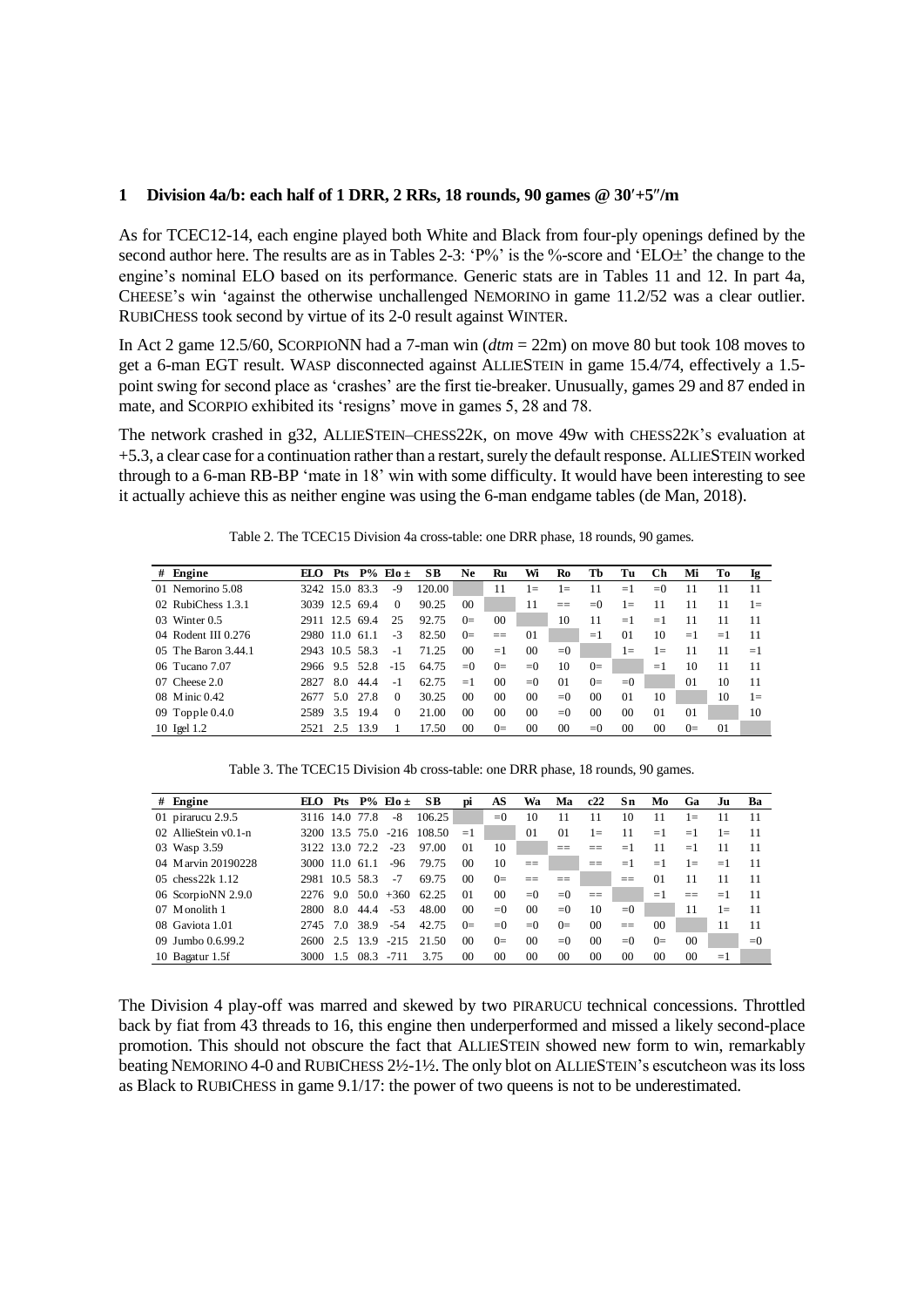#### **1 Division 4a/b: each half of 1 DRR, 2 RRs, 18 rounds, 90 games @ 30+5/m**

As for TCEC12-14, each engine played both White and Black from four-ply openings defined by the second author here. The results are as in Tables 2-3:  $P\%$  is the %-score and  $ELO<sub>+</sub>$ <sup>'</sup> the change to the engine's nominal ELO based on its performance. Generic stats are in Tables 11 and 12. In part 4a, CHEESE's win 'against the otherwise unchallenged NEMORINO in game 11.2/52 was a clear outlier. RUBICHESS took second by virtue of its 2-0 result against WINTER.

In Act 2 game 12.5/60, SCORPIONN had a 7-man win (*dtm* = 22m) on move 80 but took 108 moves to get a 6-man EGT result. WASP disconnected against ALLIESTEIN in game 15.4/74, effectively a 1.5 point swing for second place as 'crashes' are the first tie-breaker. Unusually, games 29 and 87 ended in mate, and SCORPIO exhibited its 'resigns' move in games 5, 28 and 78.

The network crashed in g32, ALLIESTEIN–CHESS22K, on move 49w with CHESS22K's evaluation at +5.3, a clear case for a continuation rather than a restart, surely the default response. ALLIESTEIN worked through to a 6-man RB-BP 'mate in 18' win with some difficulty. It would have been interesting to see it actually achieve this as neither engine was using the 6-man endgame tables (de Man, 2018).

|   | Table 2. The TCEC15 Division 4a cross-table: one DRR phase, 18 rounds, 90 games. |                |            |       |                 |        |                 |                |                |                |         |                 |         |                |      |       |
|---|----------------------------------------------------------------------------------|----------------|------------|-------|-----------------|--------|-----------------|----------------|----------------|----------------|---------|-----------------|---------|----------------|------|-------|
| # | Engine                                                                           | EIО            | <b>Pts</b> |       | $P\%$ Elo $\pm$ | SB.    | <b>Ne</b>       | Ru             | Wi             | Ro             | Тb      | Tu              | Ch      | Mi             | Tо   | Ig.   |
|   | 01 Nemorino 5.08                                                                 | 3242 15.0      |            | 83.3  | -9              | 120.00 |                 | 11             | $1\equiv$      | $1\equiv$      | 11      | $=1$            | $= 0$   | 11             | 11   | 11    |
|   | 02 RubiChess 1.3.1                                                               | 3039 12.5 69.4 |            |       | $\Omega$        | 90.25  | 0 <sup>0</sup>  |                | 11             | $==$           | $= 0$   | $1\equiv$       | 11      | 11             | 11   | $1 =$ |
|   | $03$ Winter $0.5$                                                                | 2911 12.5 69.4 |            |       | 25              | 92.75  | $0=$            | 00             |                | 10             | 11      | $=1$            | $=1$    | 11             | 11   | 11    |
|   | 04 Rodent III 0.276                                                              | 2980 11.0      |            | -61-1 | $-3$            | 82.50  | $0=$            | $=$ $=$        | $\Omega$       |                | $=1$    | 01              | 10      | $=1$           | $=1$ | 11    |
|   | 05 The Baron 3.44.1                                                              | 2943 10.5 58.3 |            |       | $-1$            | 71.25  | 00 <sup>1</sup> | $=1$           | 0 <sup>0</sup> | $= 0$          |         | $1 =$           | $l =$   | 11             | 11   | $=1$  |
|   | 06 Tucano 7.07                                                                   | 2966           | 9.5        | 52.8  | $-1.5$          | 64.75  | $= 0$           | $0=$           | $= 0$          | 10             | $0=$    |                 | $=1$    | 10             | 11   | 11    |
|   | $07$ Cheese $2.0$                                                                | 2827           | 8.0        | 44.4  | $-1$            | 62.75  | $=1$            | 0 <sup>0</sup> | $= 0$          | 01             | $0=$    | $= 0$           |         | 0 <sub>1</sub> | 10   | 11    |
|   | 08 Minic 0.42                                                                    | 2677           | 5.0        | 27.8  | $\Omega$        | 30.25  | 0 <sup>0</sup>  | 0 <sup>0</sup> | 0 <sup>0</sup> | $= 0$          | $^{00}$ | 01              | 10      |                | 10   | $1 =$ |
|   | 09 Topple $0.4.0$                                                                | 2589           | 3.5        | 19.4  | $\Omega$        | 21.00  | 0 <sup>0</sup>  | 0 <sup>0</sup> | 0 <sup>0</sup> | $= 0$          | $^{00}$ | 00 <sup>2</sup> | 01      | 01             |      | 10    |
|   | 10 Igel 1.2                                                                      | 2521           | 2.5        | 13.9  |                 | 17.50  | 0 <sup>0</sup>  | $0=$           | 00             | 0 <sup>0</sup> | $= 0$   | $^{00}$         | $^{00}$ | $0=$           | 01   |       |

Table 2. The TCEC15 Division 4a cross-table: one DRR phase, 18 rounds, 90 games.

Table 3. The TCEC15 Division 4b cross-table: one DRR phase, 18 rounds, 90 games.

|               | Table 3. The TCEC15 Division 4b cross-table: one DRR phase, 18 rounds, 90 games. |                |            |      |                 |        |                 |                |                 |                |                |                |                |                |           |       |
|---------------|----------------------------------------------------------------------------------|----------------|------------|------|-----------------|--------|-----------------|----------------|-----------------|----------------|----------------|----------------|----------------|----------------|-----------|-------|
|               | $#$ Engine                                                                       | EΙΩ            | <b>Pts</b> |      | $P\%$ Elo $\pm$ | SВ     | DÌ              | AS             | Wa              | Ma             | c22            | Sn             | Mo             | Ga             | Ju        | Ba    |
|               | 01 pirarucu $2.9.5$                                                              | 3116 14.0      |            | 77.8 | -8              | 106.25 |                 | $= 0$          | 10              | 11             | 11             | 10             | 11             | $1 =$          |           | 11    |
|               | 02 AllieStein v0.1-n                                                             | 3200 13.5 75.0 |            |      | $-216$          | 108.50 | $=1$            |                | $\Omega$        | 0 <sub>1</sub> | $1\equiv$      | 11             | $=1$           | $=1$           | $1\equiv$ | 11    |
|               | 03 Wasp 3.59                                                                     | 3122 13.0 72.2 |            |      | $-23$           | 97.00  | 01              | 10             |                 | $- -$          | --             | $=1$           | 11             | $=1$           | 11        | 11    |
|               | 04 Marvin 20190228                                                               | 3000 11.0 61.1 |            |      | -96             | 79.75  | 0 <sup>0</sup>  | 10             | $==$            |                | $=$            | $=1$           | $=1$           | $1\equiv$      | $=1$      | 11    |
| $0.5^{\circ}$ | chess $22k$ 1.12                                                                 | 2981 10.5 58.3 |            |      | $-7$            | 69.75  | 00 <sup>1</sup> | $0=$           | $=$ $=$         | $=$ $=$        |                | --<br>--       | $_{01}$        | 11             | 11        | 11    |
|               | 06 ScorpioNN 2.9.0                                                               | 2276           | 9.0        | 50.0 | $+360$          | 62.25  | 0 <sub>1</sub>  | 0 <sup>0</sup> | $= 0$           | $= 0$          | $==$           |                | $=1$           | $=$            | $=1$      | 11    |
| 07            | Monolith 1                                                                       | 2800           | 8.0        | 44.4 | $-53$           | 48.00  | 00 <sup>1</sup> | $= 0$          | $00\,$          | $= 0$          | 10             | $= 0$          |                | 11             | $1 =$     | 11    |
|               | 08 Gaviota 1.01                                                                  | 2745           | 70         | 38.9 | $-54$           | 42.75  | $0=$            | $= 0$          | $= 0$           | $0=$           | 0 <sup>0</sup> | $==$           | 0 <sup>0</sup> |                | 11        | 11    |
| 09.           | Jumbo 0.6.99.2                                                                   | 2600           | 2.5        | 13.9 | $-215$          | 21.50  | 00 <sup>1</sup> | $0=$           | 00 <sup>1</sup> | $= 0$          | $^{00}$        | $= 0$          | $0=$           | 0 <sup>0</sup> |           | $= 0$ |
|               | 10 Bagatur 1.5f                                                                  | 3000           | 1.5        | 08.3 | $-711$          | 3.75   | 0 <sup>0</sup>  | 0 <sup>0</sup> | 00              | 0 <sup>0</sup> | 0 <sup>0</sup> | 0 <sup>0</sup> | 0 <sup>0</sup> | 0 <sup>0</sup> | $=1$      |       |

The Division 4 play-off was marred and skewed by two PIRARUCU technical concessions. Throttled back by fiat from 43 threads to 16, this engine then underperformed and missed a likely second-place promotion. This should not obscure the fact that ALLIESTEIN showed new form to win, remarkably beating NEMORINO 4-0 and RUBICHESS 2½-1½. The only blot on ALLIESTEIN's escutcheon was its loss as Black to RUBICHESS in game 9.1/17: the power of two queens is not to be underestimated.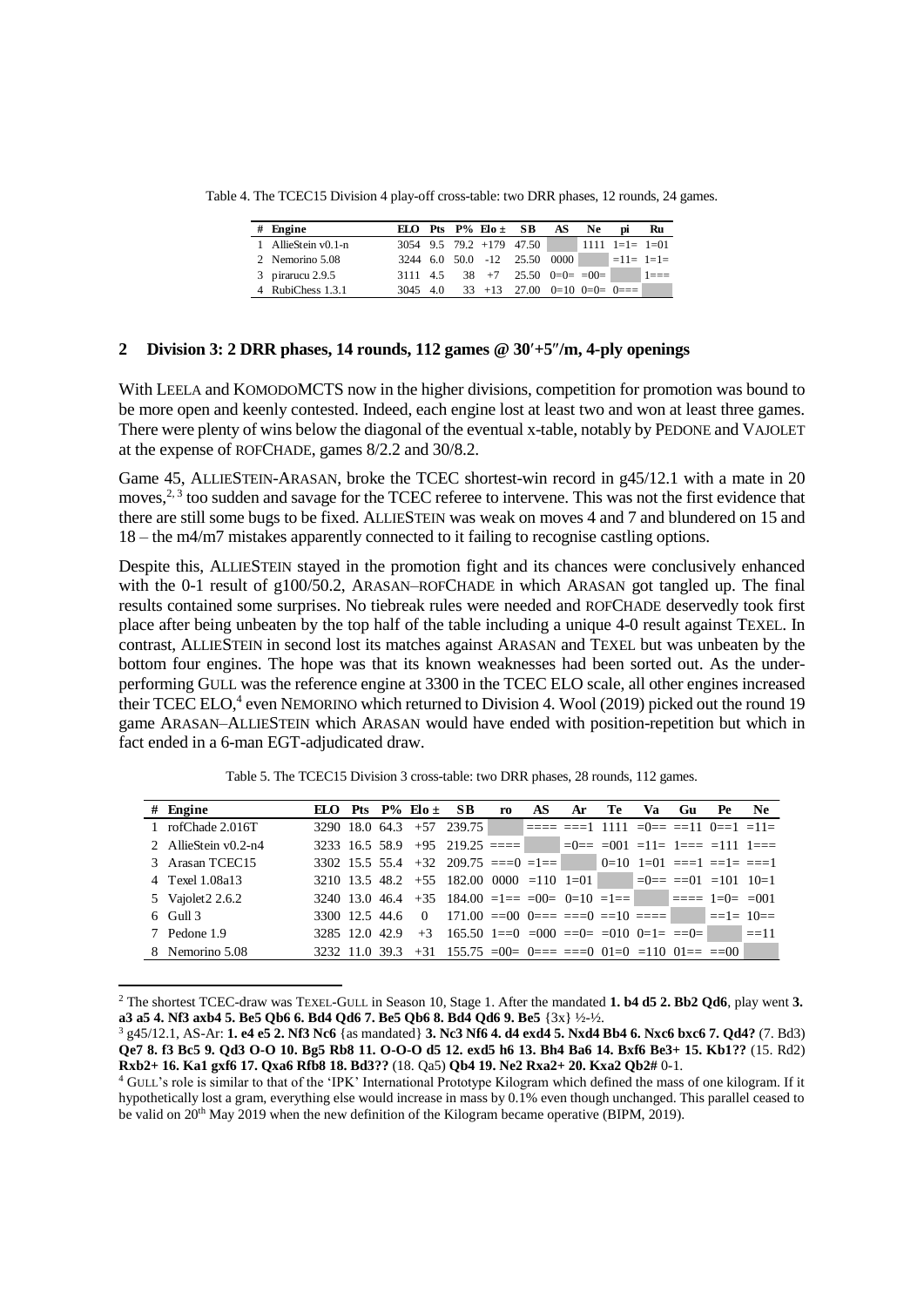| Table 4. The TCEC15 Division 4 play-off cross-table: two DRR phases, 12 rounds, 24 games. |          |  |                            |                                        |      |     |                         |         |
|-------------------------------------------------------------------------------------------|----------|--|----------------------------|----------------------------------------|------|-----|-------------------------|---------|
| $#$ Engine                                                                                |          |  | ELO Pts $P\%$ Elo $\pm$ SB |                                        | AS   | Ne. | Dİ                      | Ru      |
| 1 AllieStein v0.1-n                                                                       |          |  |                            | $3054$ 9.5 79.2 +179 47.50             |      |     | $1111$ $1=1$ $=$ $1=01$ |         |
| 2 Nemorino 5.08                                                                           |          |  |                            | 3244 6.0 50.0 -12 25.50                | 0000 |     | $=11 = 1=1=$            |         |
| 3 pirarucu $2.9.5$                                                                        | 3111 4.5 |  |                            | $38 +7 25.50 0=0=100=$                 |      |     |                         | $1 == $ |
| 4 RubiChess 1.3.1                                                                         |          |  |                            | $3045$ 4.0 33 +13 27.00 0=10 0=0= 0=== |      |     |                         |         |

### **2 Division 3: 2 DRR phases, 14 rounds, 112 games @ 30+5/m, 4-ply openings**

With LEELA and KOMODOMCTS now in the higher divisions, competition for promotion was bound to be more open and keenly contested. Indeed, each engine lost at least two and won at least three games. There were plenty of wins below the diagonal of the eventual x-table, notably by PEDONE and VAJOLET at the expense of ROFCHADE, games 8/2.2 and 30/8.2.

Game 45, ALLIESTEIN-ARASAN, broke the TCEC shortest-win record in g45/12.1 with a mate in 20 moves,<sup>2, 3</sup> too sudden and savage for the TCEC referee to intervene. This was not the first evidence that there are still some bugs to be fixed. ALLIESTEIN was weak on moves 4 and 7 and blundered on 15 and 18 – the m4/m7 mistakes apparently connected to it failing to recognise castling options.

Despite this, ALLIESTEIN stayed in the promotion fight and its chances were conclusively enhanced with the 0-1 result of g100/50.2, ARASAN–ROFCHADE in which ARASAN got tangled up. The final results contained some surprises. No tiebreak rules were needed and ROFCHADE deservedly took first place after being unbeaten by the top half of the table including a unique 4-0 result against TEXEL. In contrast, ALLIESTEIN in second lost its matches against ARASAN and TEXEL but was unbeaten by the bottom four engines. The hope was that its known weaknesses had been sorted out. As the underperforming GULL was the reference engine at 3300 in the TCEC ELO scale, all other engines increased their TCEC ELO,<sup>4</sup> even NEMORINO which returned to Division 4. Wool (2019) picked out the round 19 game ARASAN–ALLIESTEIN which ARASAN would have ended with position-repetition but which in fact ended in a 6-man EGT-adjudicated draw.

| Table 5. The TCEC15 Division 3 cross-table: two DRR phases, 28 rounds, 112 games. |  |                            |                                                                                                                                      |    |     |    |      |    |    |    |     |
|-----------------------------------------------------------------------------------|--|----------------------------|--------------------------------------------------------------------------------------------------------------------------------------|----|-----|----|------|----|----|----|-----|
|                                                                                   |  |                            |                                                                                                                                      |    |     |    |      |    |    |    |     |
| $#$ Engine                                                                        |  | ELO Pts $P\%$ Elo $\pm$ SB |                                                                                                                                      | ro | AS. | Ar | Te . | Va | Gu | Pe | Ne. |
| 1 rofChade 2.016T                                                                 |  |                            |                                                                                                                                      |    |     |    |      |    |    |    |     |
| 2 AllieStein v0.2-n4                                                              |  |                            | 3233 16.5 58.9 +95 219.25 ==== $\qquad$ =0== =001 =11= 1=== =111 1===                                                                |    |     |    |      |    |    |    |     |
| 3 Arasan TCEC15                                                                   |  |                            | $3302 \quad 15.5 \quad 55.4 \quad +32 \quad 209.75 \quad ==0 \quad =1 == \quad \qquad 0=10 \quad 1=01 \quad ==1 \quad ==1 \quad ==1$ |    |     |    |      |    |    |    |     |
| 4 Texel 1.08a13                                                                   |  |                            | 3210 13.5 48.2 +55 182.00 0000 = 110 1= 01 = $\vert$ = $\vert$ = = = = $\vert$ = 101 10=1                                            |    |     |    |      |    |    |    |     |
| 5 Vajolet 2 2.6.2                                                                 |  |                            | 3240 13.0 46.4 +35 184.00 =1== =00= 0=10 =1== $\blacksquare$ ==== 1=0= =001                                                          |    |     |    |      |    |    |    |     |
| $6$ Gull $3$                                                                      |  |                            | 3300 12.5 44.6 0 171.00 ==00 0=== ===0 ==10 ==== $\equiv$ ==1= 10==                                                                  |    |     |    |      |    |    |    |     |
| 7 Pedone 1.9                                                                      |  |                            | $3285$ 12.0 42.9 +3 165.50 1==0 =000 ==0= =010 0=1= ==0= ==11                                                                        |    |     |    |      |    |    |    |     |
| 8 Nemorino 5.08                                                                   |  |                            | $3232$ 11.0 39.3 +31 155.75 =00= 0=== ===0 01=0 =110 01== ==00                                                                       |    |     |    |      |    |    |    |     |

Table 5. The TCEC15 Division 3 cross-table: two DRR phases, 28 rounds, 112 games.

<sup>2</sup> The shortest TCEC-draw was TEXEL-GULL in Season 10, Stage 1. After the mandated **1. b4 d5 2. Bb2 Qd6**, play went **3. a3 a5 4. Nf3 axb4 5. Be5 Qb6 6. Bd4 Qd6 7. Be5 Qb6 8. Bd4 Qd6 9. Be5** {3x} ½-½.

 $\overline{a}$ 

<sup>3</sup> g45/12.1, AS-Ar: **1. e4 e5 2. Nf3 Nc6** {as mandated} **3. Nc3 Nf6 4. d4 exd4 5. Nxd4 Bb4 6. Nxc6 bxc6 7. Qd4?** (7. Bd3) **Qe7 8. f3 Bc5 9. Qd3 O-O 10. Bg5 Rb8 11. O-O-O d5 12. exd5 h6 13. Bh4 Ba6 14. Bxf6 Be3+ 15. Kb1??** (15. Rd2) **Rxb2+ 16. Ka1 gxf6 17. Qxa6 Rfb8 18. Bd3??** (18. Qa5) **Qb4 19. Ne2 Rxa2+ 20. Kxa2 Qb2#** 0-1.

<sup>4</sup> GULL's role is similar to that of the 'IPK' International Prototype Kilogram which defined the mass of one kilogram. If it hypothetically lost a gram, everything else would increase in mass by 0.1% even though unchanged. This parallel ceased to be valid on 20th May 2019 when the new definition of the Kilogram became operative (BIPM, 2019).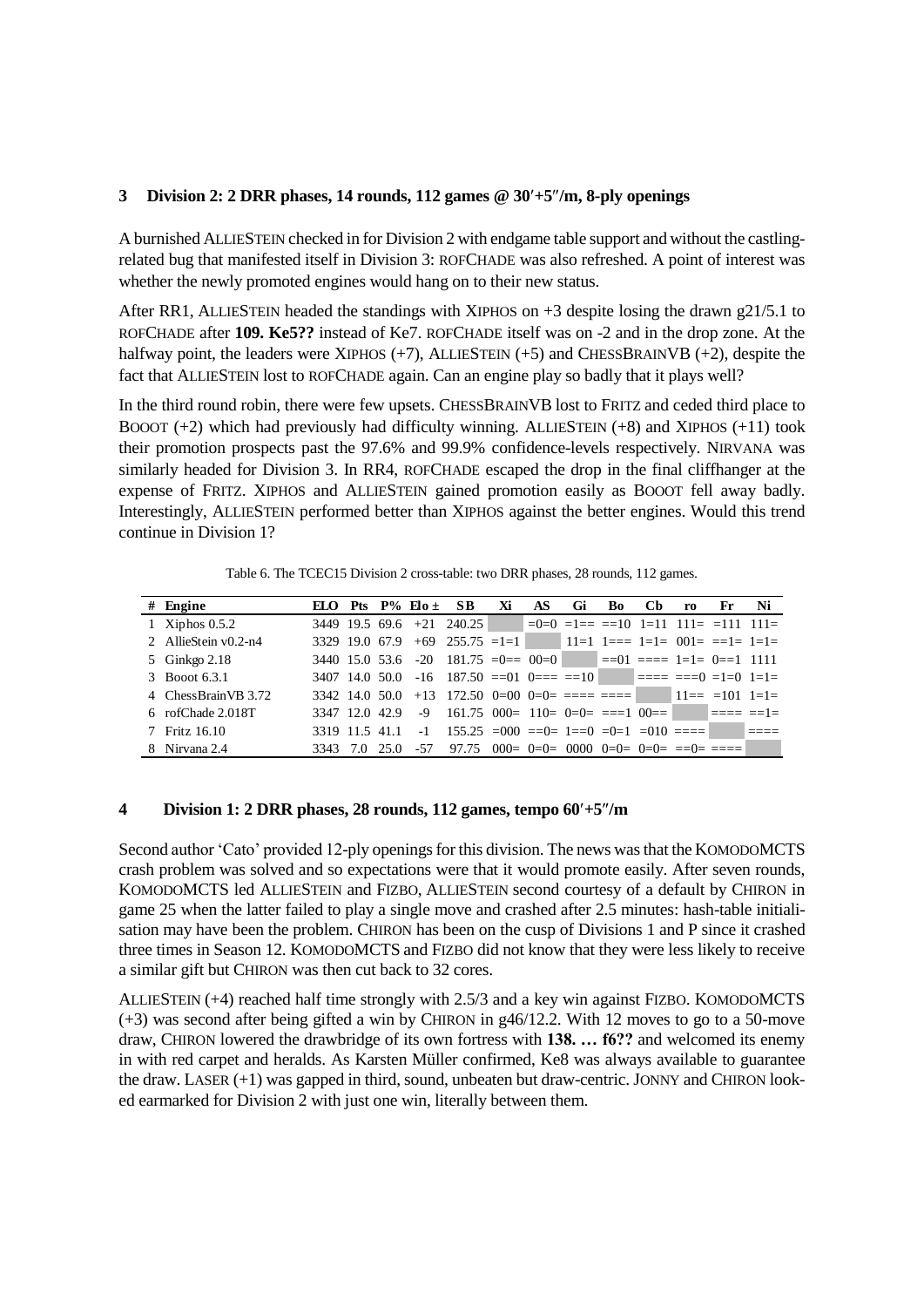### **3 Division 2: 2 DRR phases, 14 rounds, 112 games @ 30+5/m, 8-ply openings**

A burnished ALLIESTEIN checked in for Division 2 with endgame table support and without the castlingrelated bug that manifested itself in Division 3: ROFCHADE was also refreshed. A point of interest was whether the newly promoted engines would hang on to their new status.

After RR1, ALLIESTEIN headed the standings with XIPHOS on +3 despite losing the drawn g21/5.1 to ROFCHADE after **109. Ke5??** instead of Ke7. ROFCHADE itself was on -2 and in the drop zone. At the halfway point, the leaders were XIPHOS (+7), ALLIESTEIN (+5) and CHESSBRAINVB (+2), despite the fact that ALLIESTEIN lost to ROFCHADE again. Can an engine play so badly that it plays well?

In the third round robin, there were few upsets. CHESSBRAINVB lost to FRITZ and ceded third place to BOOOT  $(+2)$  which had previously had difficulty winning. ALLIESTEIN  $(+8)$  and XIPHOS  $(+11)$  took their promotion prospects past the 97.6% and 99.9% confidence-levels respectively. NIRVANA was similarly headed for Division 3. In RR4, ROFCHADE escaped the drop in the final cliffhanger at the expense of FRITZ. XIPHOS and ALLIESTEIN gained promotion easily as BOOOT fell away badly. Interestingly, ALLIESTEIN performed better than XIPHOS against the better engines. Would this trend continue in Division 1?

Table 6. The TCEC15 Division 2 cross-table: two DRR phases, 28 rounds, 112 games.

| Table 6. The TCEC15 Division 2 cross-table: two DRR phases, 28 rounds, 112 games. |                |     |      |     |                                                                                                                         |     |    |     |                |     |    |    |
|-----------------------------------------------------------------------------------|----------------|-----|------|-----|-------------------------------------------------------------------------------------------------------------------------|-----|----|-----|----------------|-----|----|----|
| $#$ Engine                                                                        |                |     |      |     | ELO Pts $P\%$ Elo $\pm$ SB Xi                                                                                           | AS. | Gi | Bo. | C <sub>b</sub> | ro. | Fr | Ni |
| 1 Xiphos $0.5.2$                                                                  |                |     |      |     | $3449$ 19.5 69.6 +21 240.25 $\vert$ =0=0 =1== ==10 1=11 111= =111 111=                                                  |     |    |     |                |     |    |    |
| 2 AllieStein v0.2-n4                                                              | 3329 19.0 67.9 |     |      |     | $+69$ 255.75 =1=1 11=1 1=== 1=1= 001= ==1= 1=1=                                                                         |     |    |     |                |     |    |    |
| 5 Ginkgo 2.18                                                                     |                |     |      |     | 3440 15.0 53.6 -20 181.75 = 0 = 00 = 0 = $\vert$ = = 01 = = = 1 = 1 = 0 = = 1 1111                                      |     |    |     |                |     |    |    |
| 3 Booot 6.3.1                                                                     |                |     |      |     | 3407 14.0 50.0 -16 187.50 ==01 0=== ==10 ==== ==== ===0 =1=0 1=1=                                                       |     |    |     |                |     |    |    |
| 4 ChessBrainVB 3.72                                                               |                |     |      |     | $3342$ 14.0 50.0 +13 172.50 0=00 0=0= ==== ==== $11 == 101$ 1=1=                                                        |     |    |     |                |     |    |    |
| 6 rofChade 2.018T                                                                 |                |     |      |     |                                                                                                                         |     |    |     |                |     |    |    |
| Fritz 16.10                                                                       | 3319 11.5 41.1 |     |      |     | $-1$ 155.25 $\equiv$ 000 $\equiv$ 0 $\equiv$ 1 $\equiv$ 0 $\equiv$ 0 $\equiv$ 1 $\equiv$ 010 $\equiv$ $\equiv$ $\equiv$ |     |    |     |                |     |    |    |
| 8 Nirvana 2.4                                                                     | 3343           | 7.0 | 25.0 | -57 | 97.75 000= 0=0= 0000 0=0= 0=0= ==0= =====                                                                               |     |    |     |                |     |    |    |

#### **4 Division 1: 2 DRR phases, 28 rounds, 112 games, tempo 60+5/m**

Second author 'Cato' provided 12-ply openings for this division. The news wasthat the KOMODOMCTS crash problem was solved and so expectations were that it would promote easily. After seven rounds, KOMODOMCTS led ALLIESTEIN and FIZBO, ALLIESTEIN second courtesy of a default by CHIRON in game 25 when the latter failed to play a single move and crashed after 2.5 minutes: hash-table initialisation may have been the problem. CHIRON has been on the cusp of Divisions 1 and P since it crashed three times in Season 12. KOMODOMCTS and FIZBO did not know that they were less likely to receive a similar gift but CHIRON was then cut back to 32 cores.

ALLIESTEIN (+4) reached half time strongly with 2.5/3 and a key win against FIZBO. KOMODOMCTS (+3) was second after being gifted a win by CHIRON in g46/12.2. With 12 moves to go to a 50-move draw, CHIRON lowered the drawbridge of its own fortress with **138. … f6??** and welcomed its enemy in with red carpet and heralds. As Karsten Müller confirmed, Ke8 was always available to guarantee the draw. LASER (+1) was gapped in third, sound, unbeaten but draw-centric. JONNY and CHIRON looked earmarked for Division 2 with just one win, literally between them.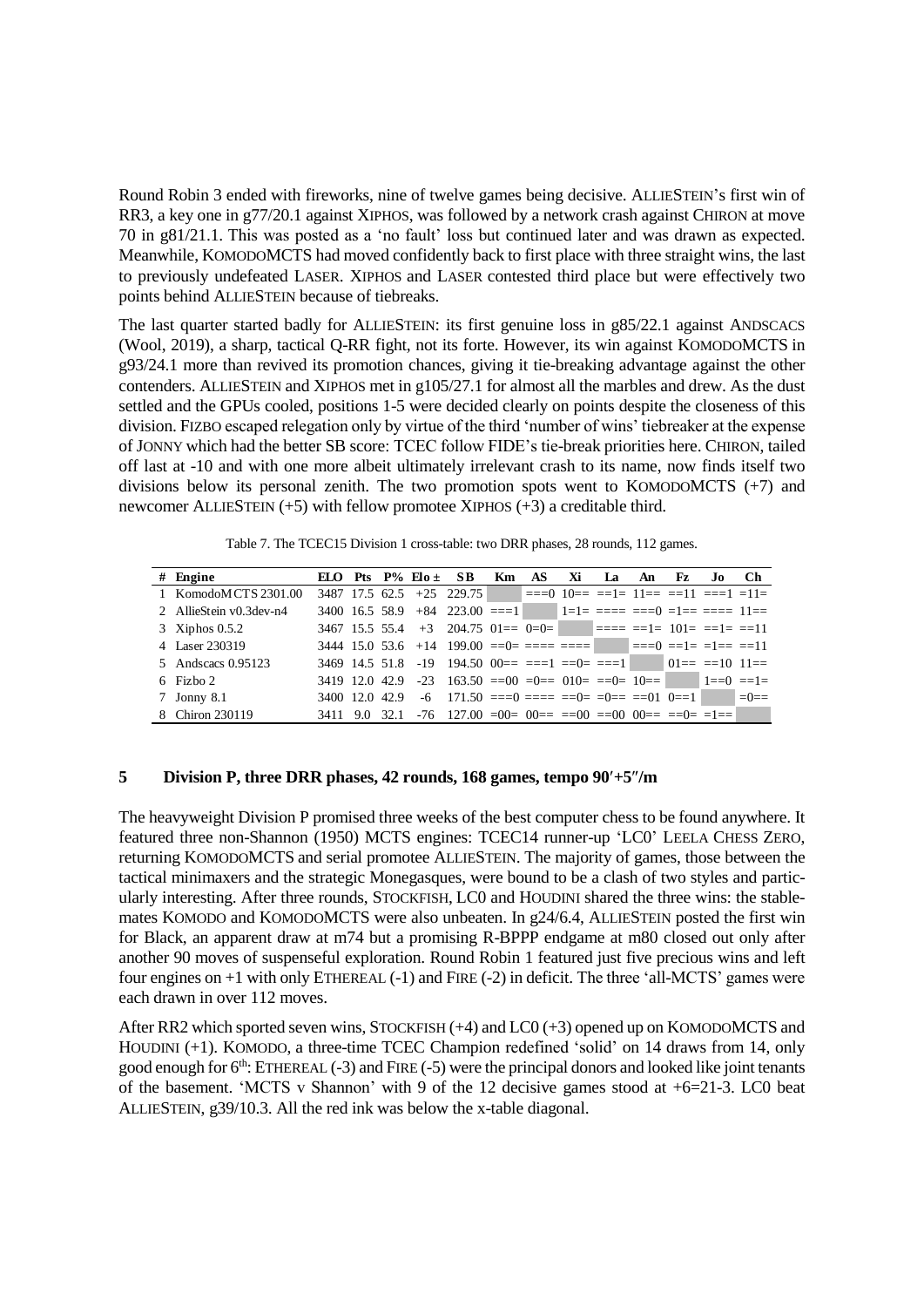Round Robin 3 ended with fireworks, nine of twelve games being decisive. ALLIESTEIN's first win of RR3, a key one in g77/20.1 against XIPHOS, was followed by a network crash against CHIRON at move 70 in g81/21.1. This was posted as a 'no fault' loss but continued later and was drawn as expected. Meanwhile, KOMODOMCTS had moved confidently back to first place with three straight wins, the last to previously undefeated LASER. XIPHOS and LASER contested third place but were effectively two points behind ALLIESTEIN because of tiebreaks.

The last quarter started badly for ALLIESTEIN: its first genuine loss in g85/22.1 against ANDSCACS (Wool, 2019), a sharp, tactical Q-RR fight, not its forte. However, its win against KOMODOMCTS in g93/24.1 more than revived its promotion chances, giving it tie-breaking advantage against the other contenders. ALLIESTEIN and XIPHOS met in g105/27.1 for almost all the marbles and drew. As the dust settled and the GPUs cooled, positions 1-5 were decided clearly on points despite the closeness of this division. FIZBO escaped relegation only by virtue of the third 'number of wins' tiebreaker at the expense of JONNY which had the better SB score: TCEC follow FIDE's tie-break priorities here. CHIRON, tailed off last at -10 and with one more albeit ultimately irrelevant crash to its name, now finds itself two divisions below its personal zenith. The two promotion spots went to KOMODOMCTS  $(+7)$  and newcomer ALLIESTEIN (+5) with fellow promotee XIPHOS (+3) a creditable third.

Table 7. The TCEC15 Division 1 cross-table: two DRR phases, 28 rounds, 112 games.

| Table 7. The TCEC15 Division 1 cross-table: two DRR phases, 28 rounds, 112 games. |                |     |      |                 |                                                                              |    |    |    |    |    |    |     |     |
|-----------------------------------------------------------------------------------|----------------|-----|------|-----------------|------------------------------------------------------------------------------|----|----|----|----|----|----|-----|-----|
| $#$ Engine                                                                        | ЕНО.           | Pts |      | $P\%$ Elo $\pm$ | -SB-                                                                         | Km | AS | Xi | Lа | An | Fz | .lo | Ch. |
| 1 KomodoMCTS 2301.00                                                              |                |     |      |                 | $3487$ 17.5 62.5 +25 229.75 = === 0 10== ==1= 11== ==11 ===1 =11=            |    |    |    |    |    |    |     |     |
| 2 AllieStein v0.3dev-n4                                                           |                |     |      |                 | 3400 16.5 58.9 +84 223.00 ===1 $\blacksquare$ 1=1= ==== ===0 =1== ==== 11==  |    |    |    |    |    |    |     |     |
| 3 Xiphos $0.5.2$                                                                  |                |     |      |                 | $3467$ 15.5 55.4 +3 204.75 01== 0=0= $\blacksquare$ ==== ==1= 101= ==1= ==11 |    |    |    |    |    |    |     |     |
| 4 Laser 230319                                                                    |                |     |      |                 | $3444$ 15.0 53.6 +14 199.00 ==0= ==== ==== $\vert$ ===0 ==1= =1= ==11        |    |    |    |    |    |    |     |     |
| 5 Andscacs 0.95123                                                                |                |     |      |                 | $3469$ 14.5 51.8 -19 194.50 00== ===1 ==0= ===1 01== ==10 11==               |    |    |    |    |    |    |     |     |
| 6 Fizho 2                                                                         |                |     |      |                 | 3419 12.0 42.9 -23 163.50 ==00 =0== $010=$ ==0= $10==$ $10==$ $1==0$ ==1=    |    |    |    |    |    |    |     |     |
| 7 Jonny 8.1                                                                       | 3400 12.0 42.9 |     |      |                 | $-6$ 171.50 ===0 ==== ==0= =0= ==01 0==1 =0==                                |    |    |    |    |    |    |     |     |
| 8 Chiron 230119                                                                   | 3411           | 9.0 | 32.1 |                 | $-76$ 127.00 $=00=$ $00==$ $=00$ $=$ $00=$ $00==$ $=$ $=0=$ $=$              |    |    |    |    |    |    |     |     |

# **5 Division P, three DRR phases, 42 rounds, 168 games, tempo 90+5/m**

The heavyweight Division P promised three weeks of the best computer chess to be found anywhere. It featured three non-Shannon (1950) MCTS engines: TCEC14 runner-up 'LC0' LEELA CHESS ZERO, returning KOMODOMCTS and serial promotee ALLIESTEIN. The majority of games, those between the tactical minimaxers and the strategic Monegasques, were bound to be a clash of two styles and particularly interesting. After three rounds, STOCKFISH, LC0 and HOUDINI shared the three wins: the stablemates KOMODO and KOMODOMCTS were also unbeaten. In g24/6.4, ALLIESTEIN posted the first win for Black, an apparent draw at m74 but a promising R-BPPP endgame at m80 closed out only after another 90 moves of suspenseful exploration. Round Robin 1 featured just five precious wins and left four engines on +1 with only ETHEREAL (-1) and FIRE (-2) in deficit. The three 'all-MCTS' games were each drawn in over 112 moves.

After RR2 which sported seven wins, STOCKFISH (+4) and LC0 (+3) opened up on KOMODOMCTS and HOUDINI (+1). KOMODO, a three-time TCEC Champion redefined 'solid' on 14 draws from 14, only good enough for  $6<sup>th</sup>$ : ETHEREAL (-3) and FIRE (-5) were the principal donors and looked like joint tenants of the basement. 'MCTS v Shannon' with 9 of the 12 decisive games stood at +6=21-3. LC0 beat ALLIESTEIN, g39/10.3. All the red ink was below the x-table diagonal.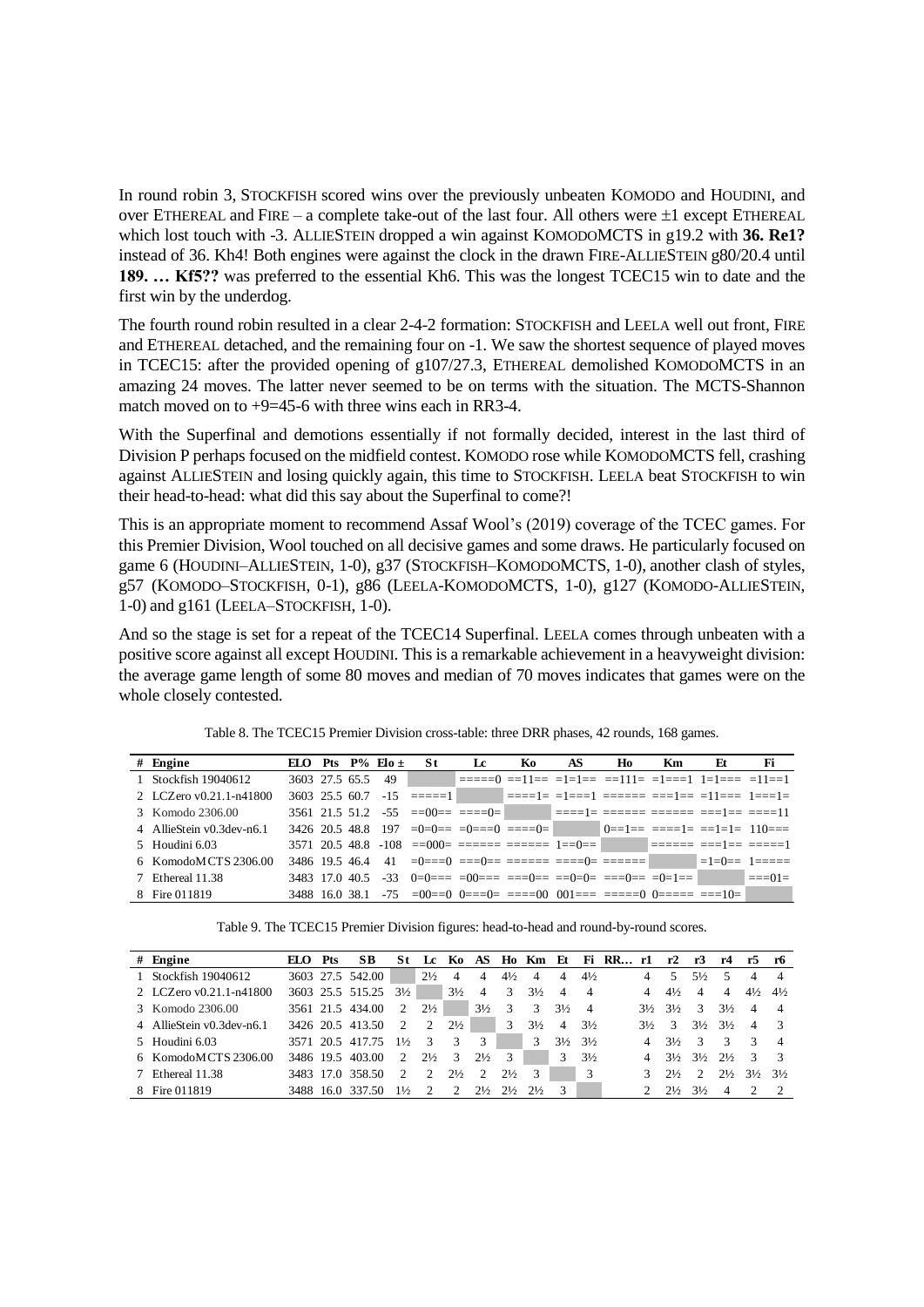In round robin 3, STOCKFISH scored wins over the previously unbeaten KOMODO and HOUDINI, and over ETHEREAL and FIRE – a complete take-out of the last four. All others were  $\pm 1$  except ETHEREAL which lost touch with -3. ALLIESTEIN dropped a win against KOMODOMCTS in g19.2 with **36. Re1?** instead of 36. Kh4! Both engines were against the clock in the drawn FIRE-ALLIESTEIN g80/20.4 until **189. … Kf5??** was preferred to the essential Kh6. This was the longest TCEC15 win to date and the first win by the underdog.

The fourth round robin resulted in a clear 2-4-2 formation: STOCKFISH and LEELA well out front, FIRE and ETHEREAL detached, and the remaining four on -1. We saw the shortest sequence of played moves in TCEC15: after the provided opening of g107/27.3, ETHEREAL demolished KOMODOMCTS in an amazing 24 moves. The latter never seemed to be on terms with the situation. The MCTS-Shannon match moved on to  $+9=45-6$  with three wins each in RR3-4.

With the Superfinal and demotions essentially if not formally decided, interest in the last third of Division P perhaps focused on the midfield contest. KOMODO rose while KOMODOMCTS fell, crashing against ALLIESTEIN and losing quickly again, this time to STOCKFISH. LEELA beat STOCKFISH to win their head-to-head: what did this say about the Superfinal to come?!

This is an appropriate moment to recommend Assaf Wool's (2019) coverage of the TCEC games. For this Premier Division, Wool touched on all decisive games and some draws. He particularly focused on game 6 (HOUDINI–ALLIESTEIN, 1-0), g37 (STOCKFISH–KOMODOMCTS, 1-0), another clash of styles, g57 (KOMODO–STOCKFISH, 0-1), g86 (LEELA-KOMODOMCTS, 1-0), g127 (KOMODO-ALLIESTEIN, 1-0) and g161 (LEELA–STOCKFISH, 1-0).

And so the stage is set for a repeat of the TCEC14 Superfinal. LEELA comes through unbeaten with a positive score against all except HOUDINI. This is a remarkable achievement in a heavyweight division: the average game length of some 80 moves and median of 70 moves indicates that games were on the whole closely contested.

| Table 8. The TCEC15 Premier Division cross-table: three DRR phases, 42 rounds, 168 games. |  |                         |                                                                                                                          |    |    |     |    |           |    |    |
|-------------------------------------------------------------------------------------------|--|-------------------------|--------------------------------------------------------------------------------------------------------------------------|----|----|-----|----|-----------|----|----|
| $#$ Engine                                                                                |  | ELO Pts $P\%$ Elo $\pm$ | St.                                                                                                                      | Le | Ko | AS. | Ho | <b>Km</b> | Et | Fi |
| 1 Stockfish 19040612                                                                      |  |                         |                                                                                                                          |    |    |     |    |           |    |    |
| 2 LCZero v0.21.1-n41800                                                                   |  |                         | $3603$ $25.5$ $60.7$ $-15$ $=\pm\pm\pm1$ $\qquad$ $=\pm\pm\pm1$ $=\pm\pm\pm1$ $=\pm\pm\pm\pm\pm\pm1$ $=\pm11$            |    |    |     |    |           |    |    |
| 3 Komodo 2306.00                                                                          |  |                         |                                                                                                                          |    |    |     |    |           |    |    |
| 4 AllieStein v0.3dev-n6.1                                                                 |  |                         | $3426$ 20.5 48.8 197 $=0$ $=0$ $=$ $=$ $-0$ $=$ $=$ $=$ $-0$ $=$ $-1$ $=$ $-1$ $=$ $=$ $-1$ $=$ $-1$ $-1$ $-10$ $=$ $-1$ |    |    |     |    |           |    |    |
| 5 Houdini 6.03                                                                            |  |                         | $3571$ $20.5$ $48.8$ $-108$ $==000=$ $====$ $====$ $1==0==$ $1==0==$ $===1==$ $==1==$                                    |    |    |     |    |           |    |    |
| 6 KomodoMCTS 2306.00                                                                      |  |                         | 3486 19.5 46.4 41 = $0 == 0 == -0 == == == == == == 0 == == 0 == == == =$                                                |    |    |     |    |           |    |    |
| 7 Ethereal 11.38                                                                          |  |                         | $3483$ 17.0 40.5 -33 0=0=== =00=== ===0== ==0=0= ===0== =0=1== =0=1== ==01=                                              |    |    |     |    |           |    |    |
| 8 Fire 011819                                                                             |  |                         | $3488$ 16.0 38.1 -75 =00==0 0===0= ====00 001=== =====0 0===== ===10=                                                    |    |    |     |    |           |    |    |

Table 8. The TCEC15 Premier Division cross-table: three DRR phases, 42 rounds, 168 games.

Table 9. The TCEC15 Premier Division figures: head-to-head and round-by-round scores.

|              | 1.110011017                                                                           |           |            |                  |                |                |                |                |                               |                |                |                |          |                |                |                               |                |                |                |
|--------------|---------------------------------------------------------------------------------------|-----------|------------|------------------|----------------|----------------|----------------|----------------|-------------------------------|----------------|----------------|----------------|----------|----------------|----------------|-------------------------------|----------------|----------------|----------------|
|              | Table 9. The TCEC15 Premier Division figures: head-to-head and round-by-round scores. |           |            |                  |                |                |                |                |                               |                |                |                |          |                |                |                               |                |                |                |
|              | $#$ Engine                                                                            | ELO       | <b>Pts</b> | SB               | St             | Lc             | K0             |                |                               | AS Ho Km Et    |                |                | Fi RR r1 |                | r2             | r3                            | r4             | r5             | r6             |
| $\mathbf{1}$ | Stockfish 19040612                                                                    |           |            | 3603 27.5 542.00 |                | $2\frac{1}{2}$ | 4              | $\overline{4}$ | $4\frac{1}{2}$                | 4              | 4              | $4\frac{1}{2}$ |          | 4              | 5              | $5\frac{1}{2}$                | 5              | 4              | 4              |
|              | 2 I.C.Zero v0.21.1-n41800                                                             |           |            | 3603 25.5 515.25 | $3\frac{1}{2}$ |                | $3\frac{1}{2}$ | $\overline{4}$ | 3                             | $3\frac{1}{2}$ | $\overline{4}$ | 4              |          | 4              | $4\frac{1}{2}$ | 4                             | $\overline{4}$ | $4\frac{1}{2}$ | $4\frac{1}{2}$ |
|              | 3 Komodo 2306.00                                                                      |           |            | 3561 21.5 434.00 | $\mathcal{L}$  | $2\frac{1}{2}$ |                | $3\frac{1}{2}$ | 3                             | 3              | $3\frac{1}{2}$ | 4              |          | $3\frac{1}{2}$ | $3\frac{1}{2}$ | $\mathcal{R}$                 | $3\frac{1}{2}$ | 4              | 4              |
|              | 4 AllieStein v0.3dev-n6.1                                                             |           |            | 3426 20.5 413.50 | 2              | 2              | $2\frac{1}{2}$ |                | 3                             | $3\frac{1}{2}$ | 4              | $3\frac{1}{2}$ |          | $3\frac{1}{2}$ | $\mathcal{R}$  | $3\frac{1}{2}$                | $3\frac{1}{2}$ | 4              |                |
|              | 5 Houdini 6.03                                                                        |           |            | 3571 20.5 417.75 | $1\frac{1}{2}$ | -3             | 3              | 3              |                               | 3              | $3\frac{1}{2}$ | $3\frac{1}{2}$ |          | 4              | $3\frac{1}{2}$ | $\mathcal{R}$                 | $\mathcal{R}$  | $\mathcal{R}$  | 4              |
|              | 6 KomodoMCTS 2306.00                                                                  | 3486 19.5 |            | 403.00           | 2              | $2\frac{1}{2}$ | $\mathcal{R}$  | $2\frac{1}{2}$ | $\mathcal{R}$                 |                | $\mathcal{R}$  | $3\frac{1}{2}$ |          | 4              | $3\frac{1}{2}$ | $3\frac{1}{2}$ $2\frac{1}{2}$ |                | $\mathcal{R}$  | 3              |
|              | Ethereal 11.38                                                                        |           |            | 3483 17.0 358.50 | $\mathcal{L}$  | $\mathcal{D}$  | $2\frac{1}{2}$ | $\mathcal{D}$  | $2\frac{1}{2}$                | $\mathcal{R}$  |                | 3              |          |                | $2\frac{1}{2}$ | $\mathcal{D}$                 | $2\frac{1}{2}$ | $3\frac{1}{2}$ | $3\frac{1}{2}$ |
|              | 8 Fire 011819                                                                         |           |            | 3488 16.0 337.50 | $1\frac{1}{2}$ | $\mathcal{L}$  | $\mathcal{L}$  |                | $2\frac{1}{2}$ $2\frac{1}{2}$ | $2\frac{1}{2}$ | 3              |                |          |                | $2\frac{1}{2}$ | $3\frac{1}{2}$                | 4              |                |                |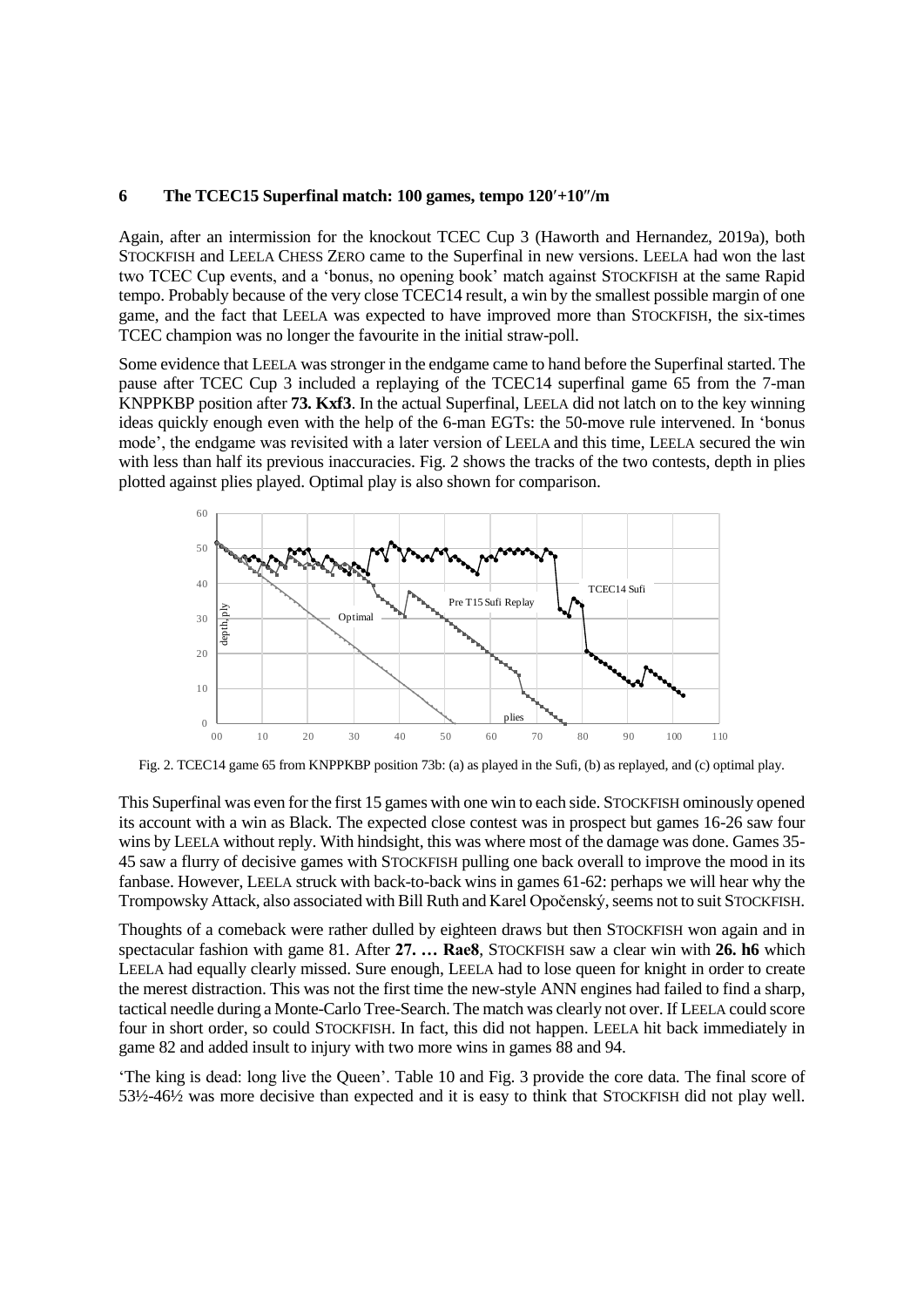#### **6 The TCEC15 Superfinal match: 100 games, tempo 120+10/m**

Again, after an intermission for the knockout TCEC Cup 3 (Haworth and Hernandez, 2019a), both STOCKFISH and LEELA CHESS ZERO came to the Superfinal in new versions. LEELA had won the last two TCEC Cup events, and a 'bonus, no opening book' match against STOCKFISH at the same Rapid tempo. Probably because of the very close TCEC14 result, a win by the smallest possible margin of one game, and the fact that LEELA was expected to have improved more than STOCKFISH, the six-times TCEC champion was no longer the favourite in the initial straw-poll.

Some evidence that LEELA was stronger in the endgame came to hand before the Superfinal started. The pause after TCEC Cup 3 included a replaying of the TCEC14 superfinal game 65 from the 7-man KNPPKBP position after **73. Kxf3**. In the actual Superfinal, LEELA did not latch on to the key winning ideas quickly enough even with the help of the 6-man EGTs: the 50-move rule intervened. In 'bonus mode', the endgame was revisited with a later version of LEELA and this time, LEELA secured the win with less than half its previous inaccuracies. Fig. 2 shows the tracks of the two contests, depth in plies



Fig. 2. TCEC14 game 65 from KNPPKBP position 73b: (a) as played in the Sufi, (b) as replayed, and (c) optimal play.

This Superfinal was even for the first 15 games with one win to each side. STOCKFISH ominously opened its account with a win as Black. The expected close contest was in prospect but games 16-26 saw four wins by LEELA without reply. With hindsight, this was where most of the damage was done. Games 35- 45 saw a flurry of decisive games with STOCKFISH pulling one back overall to improve the mood in its fanbase. However, LEELA struck with back-to-back wins in games 61-62: perhaps we will hear why the Trompowsky Attack, also associated with Bill Ruth and Karel Opočenský, seems not to suit STOCKFISH.

Thoughts of a comeback were rather dulled by eighteen draws but then STOCKFISH won again and in spectacular fashion with game 81. After **27. … Rae8**, STOCKFISH saw a clear win with **26. h6** which LEELA had equally clearly missed. Sure enough, LEELA had to lose queen for knight in order to create the merest distraction. This was not the first time the new-style ANN engines had failed to find a sharp, tactical needle during a Monte-Carlo Tree-Search. The match was clearly not over. If LEELA could score four in short order, so could STOCKFISH. In fact, this did not happen. LEELA hit back immediately in game 82 and added insult to injury with two more wins in games 88 and 94.

'The king is dead: long live the Queen'. Table 10 and Fig. 3 provide the core data. The final score of 53½-46½ was more decisive than expected and it is easy to think that STOCKFISH did not play well.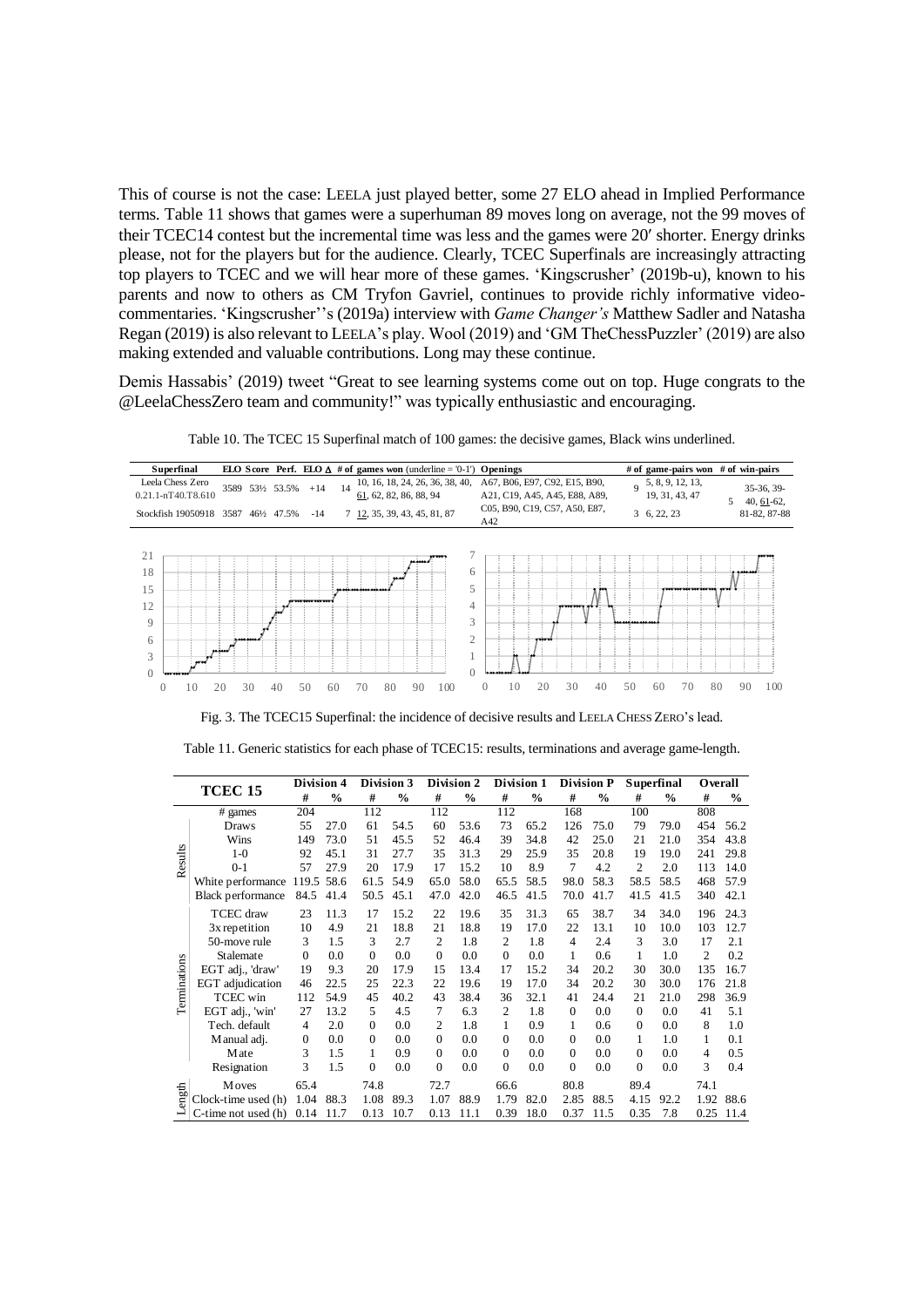This of course is not the case: LEELA just played better, some 27 ELO ahead in Implied Performance terms. Table 11 shows that games were a superhuman 89 moves long on average, not the 99 moves of their TCEC14 contest but the incremental time was less and the games were 20 shorter. Energy drinks please, not for the players but for the audience. Clearly, TCEC Superfinals are increasingly attracting top players to TCEC and we will hear more of these games. 'Kingscrusher' (2019b-u), known to his parents and now to others as CM Tryfon Gavriel, continues to provide richly informative videocommentaries. 'Kingscrusher''s (2019a) interview with *Game Changer's* Matthew Sadler and Natasha Regan (2019) is also relevant to LEELA's play. Wool (2019) and 'GM TheChessPuzzler' (2019) are also making extended and valuable contributions. Long may these continue.

Demis Hassabis' (2019) tweet "Great to see learning systems come out on top. Huge congrats to the @LeelaChessZero team and community!" was typically enthusiastic and encouraging.

| Superfinal                                                        |                      |           |                        |    | ELO Score Perf. ELO $\Delta$ # of games won (underline = '0-1')              | Openings                                                       |    | # of game-pairs won                   |   | # of win-pairs             |
|-------------------------------------------------------------------|----------------------|-----------|------------------------|----|------------------------------------------------------------------------------|----------------------------------------------------------------|----|---------------------------------------|---|----------------------------|
| Leela Chess Zero<br>$0.21.1 - nT40. T8.610$                       | 3589 531/2 53.5% +14 |           |                        | 14 | 10, 16, 18, 24, 26, 36, 38, 40,<br>61, 62, 82, 86, 88, 94                    | A67, B06, E97, C92, E15, B90,<br>A21, C19, A45, A45, E88, A89, |    | 9, 5, 8, 9, 12, 13,<br>19, 31, 43, 47 | 5 | 35-36, 39-<br>$40, 61-62,$ |
| Stockfish 19050918                                                | 3587                 | 46½ 47.5% | $-14$                  |    | 7 12, 35, 39, 43, 45, 81, 87                                                 | C05, B90, C19, C57, A50, E87,<br>A42                           |    | 3, 6, 22, 23                          |   | 81-82, 87-88               |
| 21<br>18<br>15<br>12<br>9<br>6<br>3<br>$\Omega$<br>10<br>$\Omega$ | ممضمه<br>30<br>20    | 40        | ,,,,,,,,,,<br>50<br>60 |    | 6<br>5<br>4<br>3<br>$\overline{2}$<br>ı<br>$\left($<br>80<br>100<br>90<br>70 | 30<br>20<br>$\Omega$<br>40<br>10                               | 50 | 80<br>70<br>60                        |   | 90<br>100                  |

Table 10. The TCEC 15 Superfinal match of 100 games: the decisive games, Black wins underlined.

 $\overline{\phantom{a}}$ 

Fig. 3. The TCEC15 Superfinal: the incidence of decisive results and LEELA CHESS ZERO's lead.

Table 11. Generic statistics for each phase of TCEC15: results, terminations and average game-length.

|              |                          | Division 4     |               | Division 3 |      | Division 2     |               | Division 1     |      | <b>Division P</b> |               | <b>Superfinal</b> |               | Overall        |      |
|--------------|--------------------------|----------------|---------------|------------|------|----------------|---------------|----------------|------|-------------------|---------------|-------------------|---------------|----------------|------|
|              | TCEC <sub>15</sub>       | #              | $\frac{0}{0}$ | #          | $\%$ | #              | $\frac{0}{0}$ | #              | $\%$ | #                 | $\frac{6}{6}$ | #                 | $\frac{0}{0}$ | #              | $\%$ |
|              | # games                  | 204            |               | 112        |      | 112            |               | 112            |      | 168               |               | 100               |               | 808            |      |
|              | <b>Draws</b>             | 55             | 27.0          | 61         | 54.5 | 60             | 53.6          | 73             | 65.2 | 126               | 75.0          | 79                | 79.0          | 454            | 56.2 |
|              | Wins                     | 149            | 73.0          | 51         | 45.5 | 52             | 46.4          | 39             | 34.8 | 42                | 25.0          | 21                | 21.0          | 354            | 43.8 |
|              | $1-0$                    | 92             | 45.1          | 31         | 27.7 | 35             | 31.3          | 29             | 25.9 | 35                | 20.8          | 19                | 19.0          | 241            | 29.8 |
| Results      | $0 - 1$                  | 57             | 27.9          | 20         | 17.9 | 17             | 15.2          | 10             | 8.9  | 7                 | 4.2           | $\overline{c}$    | 2.0           | 113            | 14.0 |
|              | White performance        | 119.5 58.6     |               | 61.5       | 54.9 | 65.0           | 58.0          | 65.5           | 58.5 | 98.0              | 58.3          | 58.5              | 58.5          | 468            | 57.9 |
|              | <b>Black performance</b> | 84.5           | 41.4          | 50.5       | 45.1 | 47.0           | 42.0          | 46.5           | 41.5 | 70.0              | 41.7          | 41.5              | 41.5          | 340            | 42.1 |
|              | <b>TCEC</b> draw         | 23             | 11.3          | 17         | 15.2 | 22             | 19.6          | 35             | 31.3 | 65                | 38.7          | 34                | 34.0          | 196            | 24.3 |
|              | 3x repetition            | 10             | 4.9           | 21         | 18.8 | 21             | 18.8          | 19             | 17.0 | 22                | 13.1          | 10                | 10.0          | 103            | 12.7 |
|              | 50-move rule             | 3              | 1.5           | 3          | 2.7  | $\overline{c}$ | 1.8           | 2              | 1.8  | $\overline{4}$    | 2.4           | 3                 | 3.0           | 17             | 2.1  |
|              | Stalemate                | $\Omega$       | 0.0           | $\Omega$   | 0.0  | $\Omega$       | 0.0           | $\Omega$       | 0.0  | 1                 | 0.6           | 1                 | 1.0           | $\overline{c}$ | 0.2  |
| Terminations | EGT adj., 'draw'         | 19             | 9.3           | 20         | 17.9 | 15             | 13.4          | 17             | 15.2 | 34                | 20.2          | 30                | 30.0          | 135            | 16.7 |
|              | EGT adjudication         | 46             | 22.5          | 25         | 22.3 | 22             | 19.6          | 19             | 17.0 | 34                | 20.2          | 30                | 30.0          | 176            | 21.8 |
|              | <b>TCEC</b> win          | 112            | 54.9          | 45         | 40.2 | 43             | 38.4          | 36             | 32.1 | 41                | 24.4          | 21                | 21.0          | 298            | 36.9 |
|              | EGT adj., 'win'          | 27             | 13.2          | 5          | 4.5  | 7              | 6.3           | $\mathfrak{D}$ | 1.8  | $\Omega$          | 0.0           | $\Omega$          | 0.0           | 41             | 5.1  |
|              | Tech. default            | $\overline{4}$ | 2.0           | $\Omega$   | 0.0  | $\overline{c}$ | 1.8           | 1              | 0.9  | 1                 | 0.6           | $\Omega$          | 0.0           | 8              | 1.0  |
|              | M anual adj.             | $\mathbf{0}$   | 0.0           | $\Omega$   | 0.0  | $\Omega$       | 0.0           | $\Omega$       | 0.0  | $\Omega$          | 0.0           | 1                 | 1.0           | 1              | 0.1  |
|              | Mate                     | 3              | 1.5           | 1          | 0.9  | $\Omega$       | 0.0           | $\Omega$       | 0.0  | $\Omega$          | 0.0           | $\Omega$          | 0.0           | 4              | 0.5  |
|              | Resignation              | 3              | 1.5           | $\Omega$   | 0.0  | $\Omega$       | 0.0           | $\Omega$       | 0.0  | $\Omega$          | 0.0           | $\theta$          | 0.0           | 3              | 0.4  |
|              | <b>Moves</b>             | 65.4           |               | 74.8       |      | 72.7           |               | 66.6           |      | 80.8              |               | 89.4              |               | 74.1           |      |
| Length       | Clock-time used (h)      | 1.04           | 88.3          | 1.08       | 89.3 | 1.07           | 88.9          | 1.79           | 82.0 | 2.85              | 88.5          | 4.15              | 92.2          | 1.92           | 88.6 |
|              | C-time not used (h)      | 0.14           | 11.7          | 0.13       | 10.7 | 0.13           | 11.1          | 0.39           | 18.0 | 0.37              | 11.5          | 0.35              | 7.8           | 0.25           | 11.4 |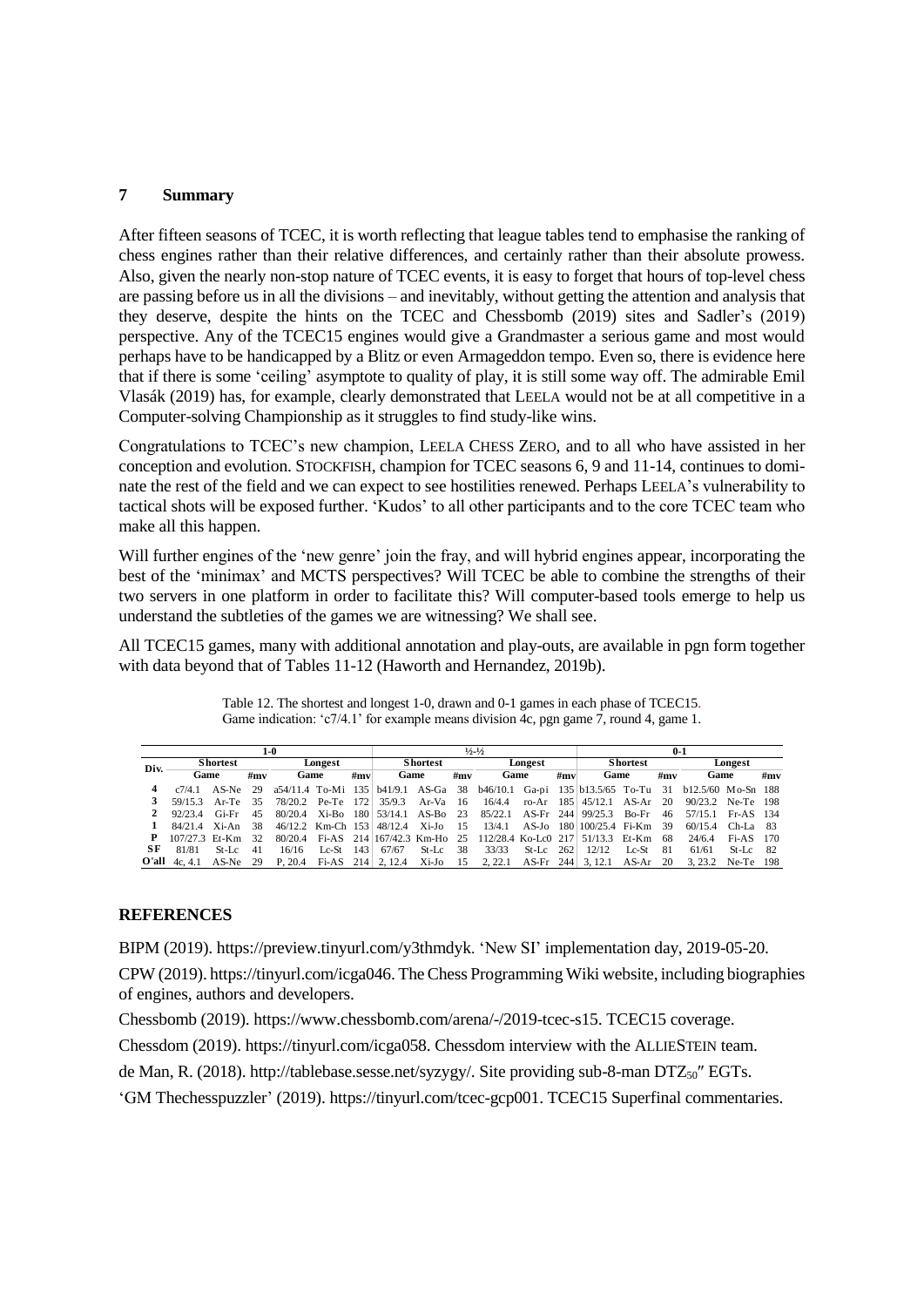# **7 Summary**

After fifteen seasons of TCEC, it is worth reflecting that league tables tend to emphasise the ranking of chess engines rather than their relative differences, and certainly rather than their absolute prowess. Also, given the nearly non-stop nature of TCEC events, it is easy to forget that hours of top-level chess are passing before us in all the divisions – and inevitably, without getting the attention and analysis that they deserve, despite the hints on the TCEC and Chessbomb (2019) sites and Sadler's (2019) perspective. Any of the TCEC15 engines would give a Grandmaster a serious game and most would perhaps have to be handicapped by a Blitz or even Armageddon tempo. Even so, there is evidence here that if there is some 'ceiling' asymptote to quality of play, it is still some way off. The admirable Emil Vlasák (2019) has, for example, clearly demonstrated that LEELA would not be at all competitive in a Computer-solving Championship as it struggles to find study-like wins.

Congratulations to TCEC's new champion, LEELA CHESS ZERO, and to all who have assisted in her conception and evolution. STOCKFISH, champion for TCEC seasons 6, 9 and 11-14, continues to dominate the rest of the field and we can expect to see hostilities renewed. Perhaps LEELA's vulnerability to tactical shots will be exposed further. 'Kudos' to all other participants and to the core TCEC team who make all this happen.

Will further engines of the 'new genre' join the fray, and will hybrid engines appear, incorporating the best of the 'minimax' and MCTS perspectives? Will TCEC be able to combine the strengths of their two servers in one platform in order to facilitate this? Will computer-based tools emerge to help us understand the subtleties of the games we are witnessing? We shall see.

All TCEC15 games, many with additional annotation and play-outs, are available in pgn form together with data beyond that of Tables 11-12 (Haworth and Hernandez, 2019b).

|      |                      |                 |      | 1-0               |         |     |                           |                 |      | $\frac{1}{2}$ $\frac{1}{2}$ |         |     |                                                               |                 |      | $0-1$                                                                                       |             |     |
|------|----------------------|-----------------|------|-------------------|---------|-----|---------------------------|-----------------|------|-----------------------------|---------|-----|---------------------------------------------------------------|-----------------|------|---------------------------------------------------------------------------------------------|-------------|-----|
| Div. |                      | <b>Shortest</b> |      |                   | Longest |     |                           | <b>Shortest</b> |      |                             | Longest |     |                                                               | <b>Shortest</b> |      |                                                                                             | Longest     |     |
|      |                      | Game            | #mv  | Game              |         | #mv |                           | Game            | #mv  |                             | Game    | #mv | Game                                                          |                 | #mv  | Game                                                                                        |             | #mv |
|      | $c7/4$ 1             | AS-Ne           | 29   |                   |         |     |                           |                 |      |                             |         |     |                                                               |                 |      | a54/11.4 To-Mi 135 b41/9.1 AS-Ga 38 b46/10.1 Ga-pi 135 b13.5/65 To-Tu 31 b12.5/60 Mo-Sn 188 |             |     |
|      | 59/15.3              | Ar-Te           | -35  | 78/20.2 Pe-Te 172 |         |     | 35/9.3                    | Ar-Va           | - 16 | 16/4.4                      |         |     | ro-Ar $185 \mid 45/12.1$ AS-Ar 20                             |                 |      | 90/23.2 Ne-Te 198                                                                           |             |     |
|      | 92/234               | Gi-Fr           | 45   | 80/20.4           | Xi-Bo   |     | $180   53/14.1$ AS-Bo     |                 | 23   | 85/22.1                     |         |     | AS-Fr 244 99/25.3                                             | Bo-Fr           | 46   | 57/15.1 Fr-AS 134                                                                           |             |     |
|      | 84/214               | Xi-An           | 38   |                   |         |     | 46/12.2 Km-Ch 153 48/12.4 | Xi-Jo           | -15  | 13/4.1                      |         |     | AS-Jo 180 100/25.4 Fi-Km                                      |                 | - 39 | 60/15.4                                                                                     | $Ch-I.a 83$ |     |
|      | $107/27.3$ Et-Km     |                 | -32. | 80/20.4           |         |     |                           |                 |      |                             |         |     | Fi-AS 214 167/42.3 Km-Ho 25 112/28.4 Ko-Lc0 217 51/13.3 Et-Km |                 | - 68 | 24/6.4                                                                                      | Fi-AS 170   |     |
| SF   | 81/81                | $St-I.c$        | 41   | 16/16             | $Lc-St$ | 143 | 67/67                     | $St-Lc$         | -38  | 33/33                       | $St-Lc$ | 262 | 12/12                                                         | $Lc-St$         | -81  | 61/61                                                                                       | St-Lc       | -82 |
|      | O'all $4c.4.1$ AS-Ne |                 | 29   | P. 20.4           | Fi-AS   |     | 214 2.12.4                |                 |      | Xi-Jo 15 2, 22.1            |         |     | AS-Fr 244 3.12.1                                              | AS-Ar           | -20  | 3.23.2                                                                                      | Ne-Te 198   |     |

Table 12. The shortest and longest 1-0, drawn and 0-1 games in each phase of TCEC15. Game indication: 'c7/4.1' for example means division 4c, pgn game 7, round 4, game 1.

# **REFERENCES**

BIPM (2019). [https://preview.tinyurl.com/y3thmdyk.](https://preview.tinyurl.com/y3thmdyk) 'New SI' implementation day, 2019-05-20.

CPW (2019). https://tinyurl.com/icga046. The Chess Programming Wiki website, including biographies of engines, authors and developers.

Chessbomb (2019)[. https://www.chessbomb.com/arena/-/2019-tcec-s15.](https://www.chessbomb.com/arena/-/2019-tcec-s15) TCEC15 coverage.

Chessdom (2019). [https://tinyurl.com/icga058.](https://tinyurl.com/icga058) Chessdom interview with the ALLIESTEIN team.

de Man, R. (2018). http://tablebase.sesse.net/syzygy/. Site providing sub-8-man DTZ<sub>50</sub>" EGTs.

'GM Thechesspuzzler' (2019). https://tinyurl.com/tcec-gcp001. TCEC15 Superfinal commentaries.